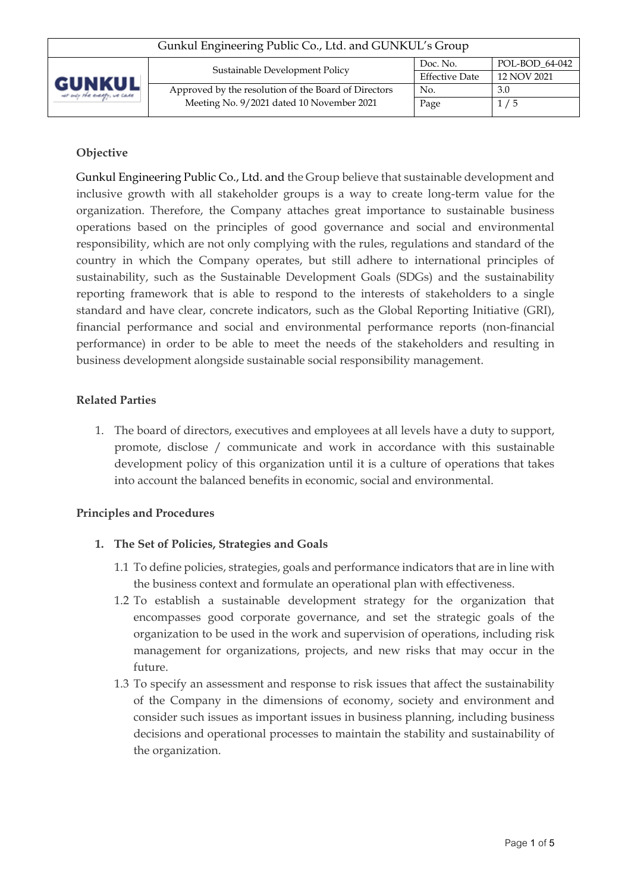| Gunkul Engineering Public Co., Ltd. and GUNKUL's Group |                                                      |                       |                |  |
|--------------------------------------------------------|------------------------------------------------------|-----------------------|----------------|--|
| <b>GUNKUL</b><br>ver only the everyly, we cane         | Sustainable Development Policy                       | Doc. No.              | POL-BOD 64-042 |  |
|                                                        |                                                      | <b>Effective Date</b> | 12 NOV 2021    |  |
|                                                        | Approved by the resolution of the Board of Directors | No.                   | 3.0            |  |
|                                                        | Meeting No. 9/2021 dated 10 November 2021            | Page                  | 1/5            |  |
|                                                        |                                                      |                       |                |  |

# **Objective**

Gunkul Engineering Public Co., Ltd. and the Group believe that sustainable development and inclusive growth with all stakeholder groups is a way to create long-term value for the organization. Therefore, the Company attaches great importance to sustainable business operations based on the principles of good governance and social and environmental responsibility, which are not only complying with the rules, regulations and standard of the country in which the Company operates, but still adhere to international principles of sustainability, such as the Sustainable Development Goals (SDGs) and the sustainability reporting framework that is able to respond to the interests of stakeholders to a single standard and have clear, concrete indicators, such as the Global Reporting Initiative (GRI), financial performance and social and environmental performance reports (non-financial performance) in order to be able to meet the needs of the stakeholders and resulting in business development alongside sustainable social responsibility management.

### **Related Parties**

1. The board of directors, executives and employees at all levels have a duty to support, promote, disclose / communicate and work in accordance with this sustainable development policy of this organization until it is a culture of operations that takes into account the balanced benefits in economic, social and environmental.

## **Principles and Procedures**

## **1. The Set of Policies, Strategies and Goals**

- 1.1 To define policies, strategies, goals and performance indicators that are in line with the business context and formulate an operational plan with effectiveness.
- 1.2 To establish a sustainable development strategy for the organization that encompasses good corporate governance, and set the strategic goals of the organization to be used in the work and supervision of operations, including risk management for organizations, projects, and new risks that may occur in the future.
- 1.3 To specify an assessment and response to risk issues that affect the sustainability of the Company in the dimensions of economy, society and environment and consider such issues as important issues in business planning, including business decisions and operational processes to maintain the stability and sustainability of the organization.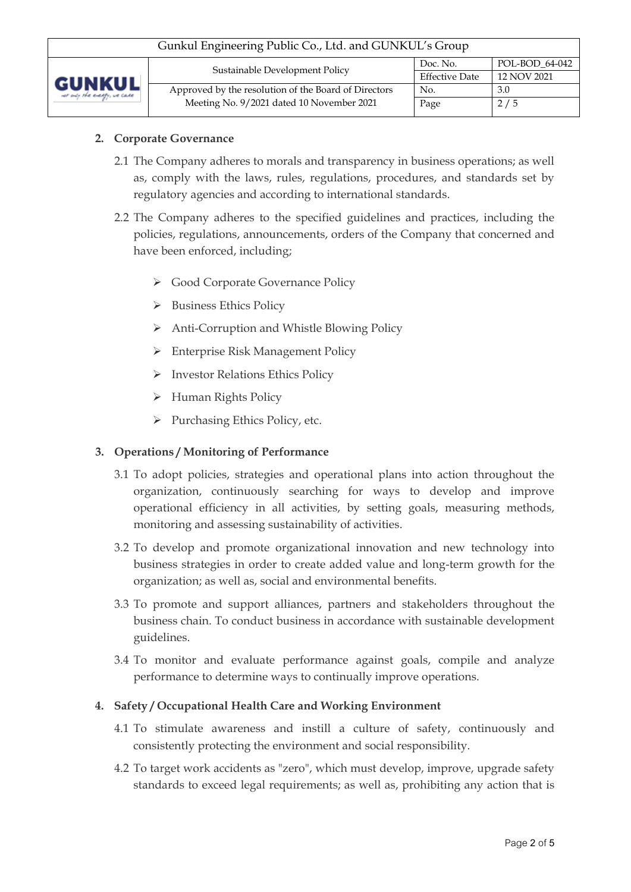| Gunkul Engineering Public Co., Ltd. and GUNKUL's Group |                                                      |                       |                |  |
|--------------------------------------------------------|------------------------------------------------------|-----------------------|----------------|--|
| <b>GUNKUL</b><br>ver only the everyly, we cane         | Sustainable Development Policy                       | Doc. No.              | POL-BOD 64-042 |  |
|                                                        |                                                      | <b>Effective Date</b> | 12 NOV 2021    |  |
|                                                        | Approved by the resolution of the Board of Directors | No.                   | 3.0            |  |
|                                                        | Meeting No. 9/2021 dated 10 November 2021            | Page                  | 2/5            |  |

### **2. Corporate Governance**

- 2.1 The Company adheres to morals and transparency in business operations; as well as, comply with the laws, rules, regulations, procedures, and standards set by regulatory agencies and according to international standards.
- 2.2 The Company adheres to the specified guidelines and practices, including the policies, regulations, announcements, orders of the Company that concerned and have been enforced, including;
	- ➢ Good Corporate Governance Policy
	- ➢ Business Ethics Policy
	- ➢ Anti-Corruption and Whistle Blowing Policy
	- ➢ Enterprise Risk Management Policy
	- ➢ Investor Relations Ethics Policy
	- ➢ Human Rights Policy
	- ➢ Purchasing Ethics Policy, etc.

#### **3. Operations / Monitoring of Performance**

- 3.1 To adopt policies, strategies and operational plans into action throughout the organization, continuously searching for ways to develop and improve operational efficiency in all activities, by setting goals, measuring methods, monitoring and assessing sustainability of activities.
- 3.2 To develop and promote organizational innovation and new technology into business strategies in order to create added value and long-term growth for the organization; as well as, social and environmental benefits.
- 3.3 To promote and support alliances, partners and stakeholders throughout the business chain. To conduct business in accordance with sustainable development guidelines.
- 3.4 To monitor and evaluate performance against goals, compile and analyze performance to determine ways to continually improve operations.

#### **4. Safety / Occupational Health Care and Working Environment**

- 4.1 To stimulate awareness and instill a culture of safety, continuously and consistently protecting the environment and social responsibility.
- 4.2 To target work accidents as "zero", which must develop, improve, upgrade safety standards to exceed legal requirements; as well as, prohibiting any action that is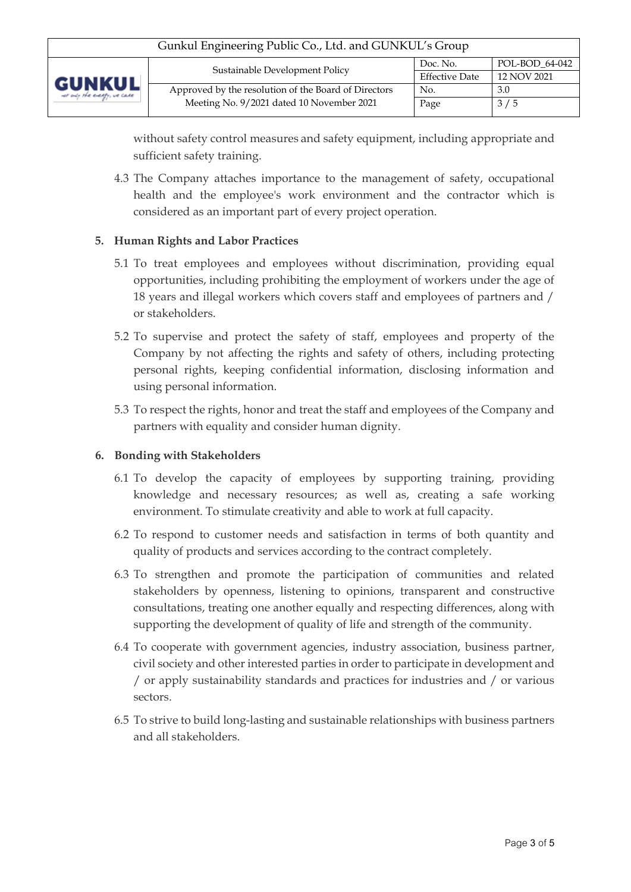| Gunkul Engineering Public Co., Ltd. and GUNKUL's Group |                                                      |                       |                |  |
|--------------------------------------------------------|------------------------------------------------------|-----------------------|----------------|--|
| <b>GUNKUL</b><br>ver only the everyly, we cane         | Sustainable Development Policy                       | Doc. No.              | POL-BOD 64-042 |  |
|                                                        |                                                      | <b>Effective Date</b> | 12 NOV 2021    |  |
|                                                        | Approved by the resolution of the Board of Directors | No.                   | 3.0            |  |
|                                                        | Meeting No. 9/2021 dated 10 November 2021            | Page                  | 3/5            |  |
|                                                        |                                                      |                       |                |  |

without safety control measures and safety equipment, including appropriate and sufficient safety training.

4.3 The Company attaches importance to the management of safety, occupational health and the employee's work environment and the contractor which is considered as an important part of every project operation.

## **5. Human Rights and Labor Practices**

- 5.1 To treat employees and employees without discrimination, providing equal opportunities, including prohibiting the employment of workers under the age of 18 years and illegal workers which covers staff and employees of partners and / or stakeholders.
- 5.2 To supervise and protect the safety of staff, employees and property of the Company by not affecting the rights and safety of others, including protecting personal rights, keeping confidential information, disclosing information and using personal information.
- 5.3 To respect the rights, honor and treat the staff and employees of the Company and partners with equality and consider human dignity.

#### **6. Bonding with Stakeholders**

- 6.1 To develop the capacity of employees by supporting training, providing knowledge and necessary resources; as well as, creating a safe working environment. To stimulate creativity and able to work at full capacity.
- 6.2 To respond to customer needs and satisfaction in terms of both quantity and quality of products and services according to the contract completely.
- 6.3 To strengthen and promote the participation of communities and related stakeholders by openness, listening to opinions, transparent and constructive consultations, treating one another equally and respecting differences, along with supporting the development of quality of life and strength of the community.
- 6.4 To cooperate with government agencies, industry association, business partner, civil society and other interested parties in order to participate in development and / or apply sustainability standards and practices for industries and / or various sectors.
- 6.5 To strive to build long-lasting and sustainable relationships with business partners and all stakeholders.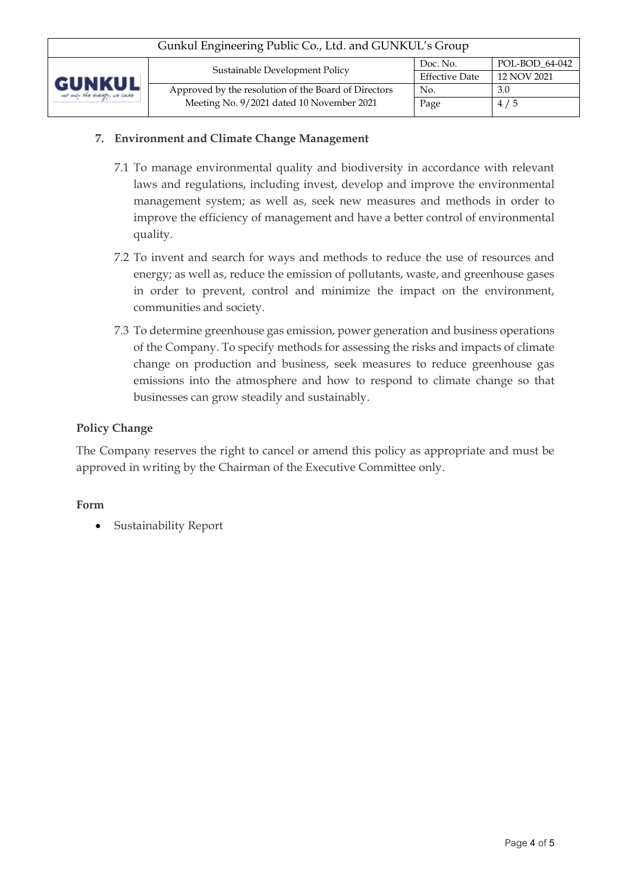| Gunkul Engineering Public Co., Ltd. and GUNKUL's Group |                                                      |                       |                |  |
|--------------------------------------------------------|------------------------------------------------------|-----------------------|----------------|--|
| <b>GUNKUL</b><br>ver only the everyly, we cane         | Sustainable Development Policy                       | Doc. No.              | POL-BOD 64-042 |  |
|                                                        |                                                      | <b>Effective Date</b> | 12 NOV 2021    |  |
|                                                        | Approved by the resolution of the Board of Directors | No.                   | 3.0            |  |
|                                                        | Meeting No. 9/2021 dated 10 November 2021            | Page                  | 4/5            |  |
|                                                        |                                                      |                       |                |  |

### **7. Environment and Climate Change Management**

- 7.1 To manage environmental quality and biodiversity in accordance with relevant laws and regulations, including invest, develop and improve the environmental management system; as well as, seek new measures and methods in order to improve the efficiency of management and have a better control of environmental quality.
- 7.2 To invent and search for ways and methods to reduce the use of resources and energy; as well as, reduce the emission of pollutants, waste, and greenhouse gases in order to prevent, control and minimize the impact on the environment, communities and society.
- 7.3 To determine greenhouse gas emission, power generation and business operations of the Company. To specify methods for assessing the risks and impacts of climate change on production and business, seek measures to reduce greenhouse gas emissions into the atmosphere and how to respond to climate change so that businesses can grow steadily and sustainably.

#### **Policy Change**

The Company reserves the right to cancel or amend this policy as appropriate and must be approved in writing by the Chairman of the Executive Committee only.

#### **Form**

• Sustainability Report